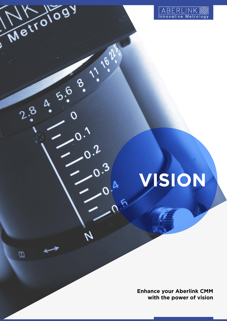

Metrology

2.8 4 5.6 8.

 $\omega$ 

11.1622

 $Q, Q$ 

# **VISION**

**Enhance your Aberlink CMM with the power of vision**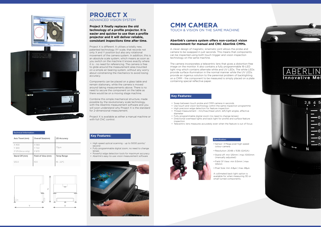# **Key Features:**

# **Key Features:**

# **CMM CAMERA** TOUCH & VISION ON THE SAME MACHINE

#### Specification:





#### Technical Information:

A clever design of magnetic, kinematic joint allows the probe and camera to be swapped in just seconds. This means that components can be inspected using both touch trigger and vision inspection technology on the same machine.

The camera incorporates a telecentric lens that gives a distortion-free image on the monitor. It also contains a fully programmable 16-LED light ring which contains alternate white and UV LEDs. The white LEDs provide surface illumination in the normal manner while the UV LEDs provide an ingenius solution to the perennial problem of backlighting on a CMM - the component to be measured is simply placed on a plate containing special reflective paper.

# **Aberlink's camera system offers non-contact vision measurement for manual and CNC Aberlink CMMs.**

A collimated back light option is available for when measuring 3D or small turned components.







- Swap between touch probe and CMM camera in seconds
- Use touch and vision technology within the same inspection programme
- High precision edge detection for feature inspection • Thread measurement - min/max/mean pitch, left/right angles, effective
- diameter
- Fully programmable digital zoom (no need to change lenses) • Directional overhead lights and back light for profile and surface feature
- inspection
- Telecentric lens measures accurately even when the feature is out of focus



- Sensor: 3 Mega pixel high speed colour camera
- Resolution: 2048 x 1536 (QXGA)
- Stand off: min 125mm | max 1000mm (manually adjusted)
- Field Of View: min 9.5mm | max 125mm
- Pixel Size: min 4.8µm | max 48µm



# **Project X finally replaces the old technology of a profile projector. It is easier and quicker to use than a profile projector and it will deliver reliable, consistant inspections time after time.**

Project X is different. It utilises a totally new, patented technology XY scale, that records not only X and Y position but also any rotational movement of the camera system. In addition, this is an absolute scale system, which means as soon as you switch on the machine it knows exactly where it is - no need for referencing. The camera is free to glide around the measurement area mounted on a simple air bearing system, without any worry about constraining the mechanics to avoid losing accuracy.

Components can be placed on a glass table and remain stationary, while the camera is moved around taking measurements above. There is no need to secure the component on the table as there would be on a moving stage machine.

Combine this simple mechanical structure, made possible by the revolutionary scale technology, with the Aberlink measurement software and you will soon understand why Project X is the standard for 2-dimensional measurement.

Project X is available as either a manual machine or with full CNC control.

| Axis Travel (mm)      | Overall Size(mm)   | 2D Accuracy         |
|-----------------------|--------------------|---------------------|
| $\times$ 400<br>Y 300 | X 583<br>Y 722     | $7.5 \mu m$         |
| Z 125 (focus only)    | 7670               |                     |
| Stand Off (mm)        | Field of View (mm) | Temp Range          |
| 125.0                 | 10.0               | $18 - 22^{\circ}$ C |

- High speed optical scanning up to 5000 points/ second
- Fully programmable digital zoom, no need to change lenses
- Powerful edge detection tools for maximum accuracy • Aberlink's easy-to-use vision measurement software
- 



# **PROJECT X** ADVANCED VISION SYSTEM